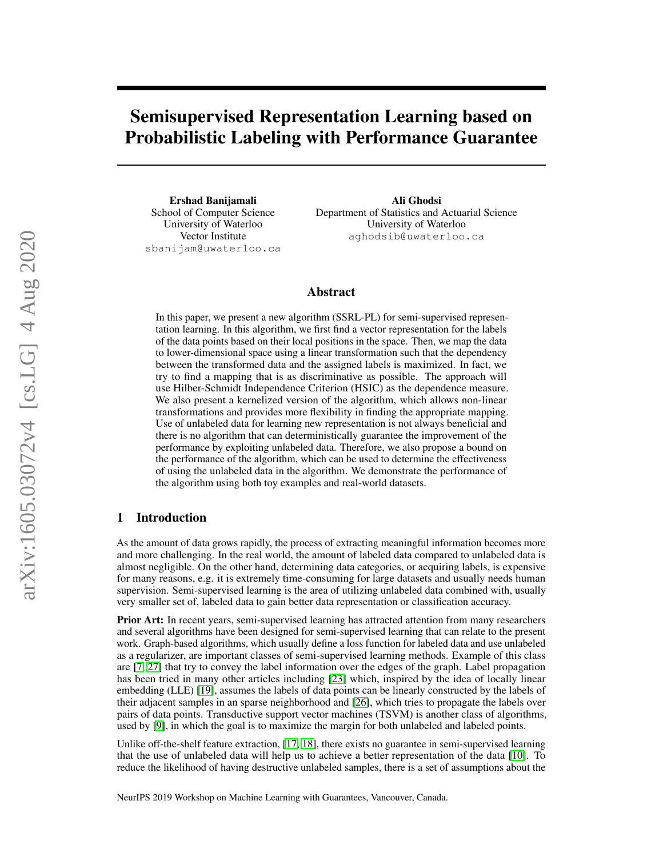# Semisupervised Representation Learning based on Probabilistic Labeling with Performance Guarantee

Ershad Banijamali School of Computer Science University of Waterloo Vector Institute sbanijam@uwaterloo.ca

Ali Ghodsi Department of Statistics and Actuarial Science University of Waterloo aghodsib@uwaterloo.ca

## Abstract

In this paper, we present a new algorithm (SSRL-PL) for semi-supervised representation learning. In this algorithm, we first find a vector representation for the labels of the data points based on their local positions in the space. Then, we map the data to lower-dimensional space using a linear transformation such that the dependency between the transformed data and the assigned labels is maximized. In fact, we try to find a mapping that is as discriminative as possible. The approach will use Hilber-Schmidt Independence Criterion (HSIC) as the dependence measure. We also present a kernelized version of the algorithm, which allows non-linear transformations and provides more flexibility in finding the appropriate mapping. Use of unlabeled data for learning new representation is not always beneficial and there is no algorithm that can deterministically guarantee the improvement of the performance by exploiting unlabeled data. Therefore, we also propose a bound on the performance of the algorithm, which can be used to determine the effectiveness of using the unlabeled data in the algorithm. We demonstrate the performance of the algorithm using both toy examples and real-world datasets.

## 1 Introduction

As the amount of data grows rapidly, the process of extracting meaningful information becomes more and more challenging. In the real world, the amount of labeled data compared to unlabeled data is almost negligible. On the other hand, determining data categories, or acquiring labels, is expensive for many reasons, e.g. it is extremely time-consuming for large datasets and usually needs human supervision. Semi-supervised learning is the area of utilizing unlabeled data combined with, usually very smaller set of, labeled data to gain better data representation or classification accuracy.

Prior Art: In recent years, semi-supervised learning has attracted attention from many researchers and several algorithms have been designed for semi-supervised learning that can relate to the present work. Graph-based algorithms, which usually define a loss function for labeled data and use unlabeled as a regularizer, are important classes of semi-supervised learning methods. Example of this class are [\[7,](#page-8-0) [27\]](#page-9-0) that try to convey the label information over the edges of the graph. Label propagation has been tried in many other articles including [\[23\]](#page-9-1) which, inspired by the idea of locally linear embedding (LLE) [\[19\]](#page-8-1), assumes the labels of data points can be linearly constructed by the labels of their adjacent samples in an sparse neighborhood and [\[26\]](#page-9-2), which tries to propagate the labels over pairs of data points. Transductive support vector machines (TSVM) is another class of algorithms, used by [\[9\]](#page-8-2), in which the goal is to maximize the margin for both unlabeled and labeled points.

Unlike off-the-shelf feature extraction, [\[17,](#page-8-3) [18\]](#page-8-4), there exists no guarantee in semi-supervised learning that the use of unlabeled data will help us to achieve a better representation of the data [\[10\]](#page-8-5). To reduce the likelihood of having destructive unlabeled samples, there is a set of assumptions about the

NeurIPS 2019 Workshop on Machine Learning with Guarantees, Vancouver, Canada.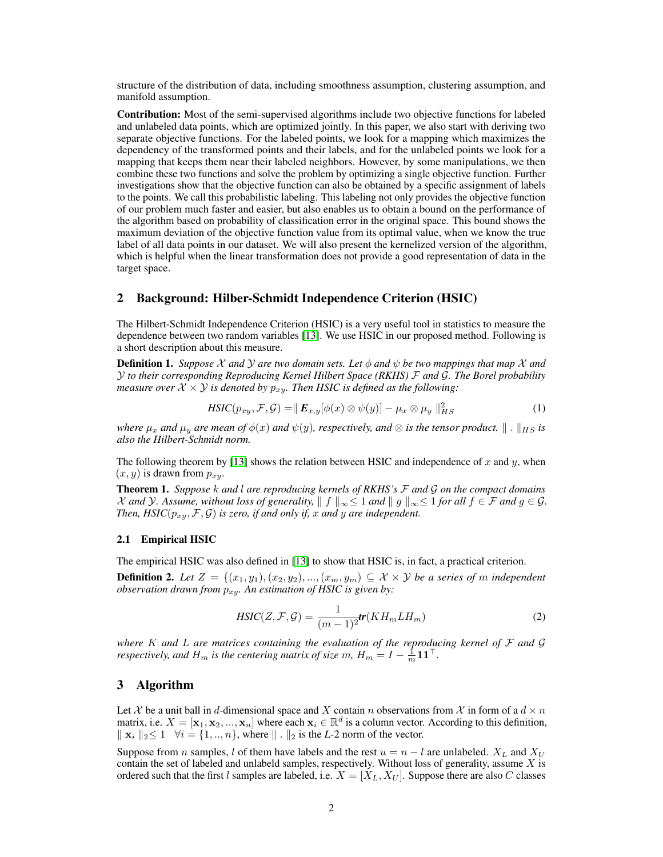structure of the distribution of data, including smoothness assumption, clustering assumption, and manifold assumption.

Contribution: Most of the semi-supervised algorithms include two objective functions for labeled and unlabeled data points, which are optimized jointly. In this paper, we also start with deriving two separate objective functions. For the labeled points, we look for a mapping which maximizes the dependency of the transformed points and their labels, and for the unlabeled points we look for a mapping that keeps them near their labeled neighbors. However, by some manipulations, we then combine these two functions and solve the problem by optimizing a single objective function. Further investigations show that the objective function can also be obtained by a specific assignment of labels to the points. We call this probabilistic labeling. This labeling not only provides the objective function of our problem much faster and easier, but also enables us to obtain a bound on the performance of the algorithm based on probability of classification error in the original space. This bound shows the maximum deviation of the objective function value from its optimal value, when we know the true label of all data points in our dataset. We will also present the kernelized version of the algorithm, which is helpful when the linear transformation does not provide a good representation of data in the target space.

## 2 Background: Hilber-Schmidt Independence Criterion (HSIC)

The Hilbert-Schmidt Independence Criterion (HSIC) is a very useful tool in statistics to measure the dependence between two random variables [\[13\]](#page-8-6). We use HSIC in our proposed method. Following is a short description about this measure.

**Definition 1.** *Suppose* X and Y are two domain sets. Let  $\phi$  and  $\psi$  be two mappings that map X and Y *to their corresponding Reproducing Kernel Hilbert Space (RKHS)* F *and* G*. The Borel probability measure over*  $X \times Y$  *is denoted by*  $p_{xy}$ *. Then HSIC is defined as the following:* 

$$
HSIC(p_{xy}, \mathcal{F}, \mathcal{G}) = || \mathbf{E}_{x,y} [\phi(x) \otimes \psi(y)] - \mu_x \otimes \mu_y ||_{HS}^2
$$
 (1)

*where*  $\mu_x$  *and*  $\mu_y$  *are mean of*  $\phi(x)$  *and*  $\psi(y)$ *, respectively, and*  $\otimes$  *is the tensor product.*  $\| \cdot \|_{HS}$  *is also the Hilbert-Schmidt norm.*

The following theorem by [\[13\]](#page-8-6) shows the relation between HSIC and independence of x and y, when  $(x, y)$  is drawn from  $p_{xy}$ .

Theorem 1. *Suppose* k *and* l *are reproducing kernels of RKHS's* F *and* G *on the compact domains X* and *Y*. Assume, without loss of generality,  $|| f ||_{\infty} \leq 1$  and  $|| g ||_{\infty} \leq 1$  for all  $f \in \mathcal{F}$  and  $g \in \mathcal{G}$ . *Then, HSIC*( $p_{xy}$ ,  $\mathcal{F}$ ,  $\mathcal{G}$ ) *is zero, if and only if, x and y are independent.* 

#### 2.1 Empirical HSIC

The empirical HSIC was also defined in [\[13\]](#page-8-6) to show that HSIC is, in fact, a practical criterion.

**Definition 2.** Let  $Z = \{(x_1, y_1), (x_2, y_2), ..., (x_m, y_m) \subseteq X \times Y$  be a series of m independent *observation drawn from*  $p_{xy}$ . An estimation of HSIC is given by:

$$
HSIC(Z, \mathcal{F}, \mathcal{G}) = \frac{1}{(m-1)^2} tr(KH_m L H_m)
$$
\n(2)

*where* K *and* L *are matrices containing the evaluation of the reproducing kernel of* F *and* G *respectively, and*  $H_m$  *is the centering matrix of size*  $m$ ,  $H_m = I - \frac{1}{m} \mathbf{1} \mathbf{1}^\top$ .

#### 3 Algorithm

Let X be a unit ball in d-dimensional space and X contain n observations from X in form of a  $d \times n$ matrix, i.e.  $X = [\mathbf{x}_1, \mathbf{x}_2, ..., \mathbf{x}_n]$  where each  $\mathbf{x}_i \in \mathbb{R}^d$  is a column vector. According to this definition,  $\Vert \mathbf{x}_i \Vert_2 \leq 1 \quad \forall i = \{1, ..., n\},$  where  $\Vert \cdot \Vert_2$  is the *L*-2 norm of the vector.

Suppose from n samples, l of them have labels and the rest  $u = n - l$  are unlabeled.  $X_L$  and  $X_U$ contain the set of labeled and unlabeld samples, respectively. Without loss of generality, assume X is ordered such that the first l samples are labeled, i.e.  $X = [X_L, X_U]$ . Suppose there are also C classes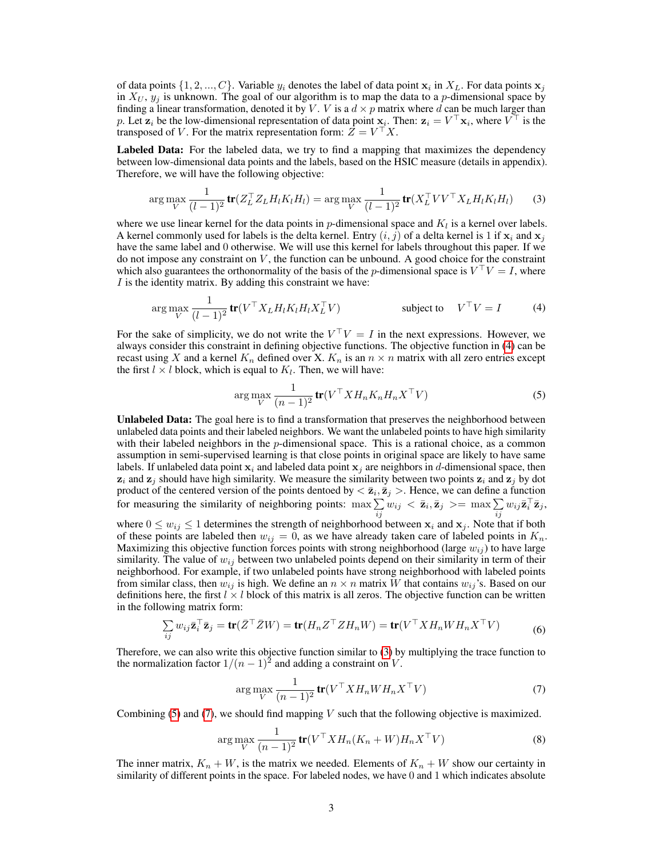of data points  $\{1, 2, ..., C\}$ . Variable  $y_i$  denotes the label of data point  $x_i$  in  $X_L$ . For data points  $x_j$ in  $X_U$ ,  $y_j$  is unknown. The goal of our algorithm is to map the data to a p-dimensional space by finding a linear transformation, denoted it by V. V is a  $d \times p$  matrix where d can be much larger than p. Let  $\mathbf{z}_i$  be the low-dimensional representation of data point  $\mathbf{x}_i$ . Then:  $\mathbf{z}_i = V^\top \mathbf{x}_i$ , where  $V^\top$  is the transposed of V. For the matrix representation form:  $\hat{Z} = V^{\top} X$ .

Labeled Data: For the labeled data, we try to find a mapping that maximizes the dependency between low-dimensional data points and the labels, based on the HSIC measure (details in appendix). Therefore, we will have the following objective:

<span id="page-2-1"></span>
$$
\arg\max_{V} \frac{1}{(l-1)^2} \operatorname{tr}(Z_L^\top Z_L H_l K_l H_l) = \arg\max_{V} \frac{1}{(l-1)^2} \operatorname{tr}(X_L^\top V V^\top X_L H_l K_l H_l) \tag{3}
$$

where we use linear kernel for the data points in  $p$ -dimensional space and  $K_l$  is a kernel over labels. A kernel commonly used for labels is the delta kernel. Entry  $(i, j)$  of a delta kernel is 1 if  $x_i$  and  $x_j$ have the same label and 0 otherwise. We will use this kernel for labels throughout this paper. If we do not impose any constraint on  $V$ , the function can be unbound. A good choice for the constraint which also guarantees the orthonormality of the basis of the *p*-dimensional space is  $V^{\top}V = I$ , where  $I$  is the identity matrix. By adding this constraint we have:

$$
\arg\max_{V} \frac{1}{(l-1)^2} \text{tr}(V^{\top} X_L H_l K_l H_l X_L^{\top} V) \qquad \text{subject to} \quad V^{\top} V = I \qquad (4)
$$

For the sake of simplicity, we do not write the  $V^{\top}V = I$  in the next expressions. However, we always consider this constraint in defining objective functions. The objective function in [\(4\)](#page-2-0) can be recast using X and a kernel  $K_n$  defined over X.  $K_n$  is an  $n \times n$  matrix with all zero entries except the first  $l \times l$  block, which is equal to  $K_l$ . Then, we will have:

<span id="page-2-2"></span><span id="page-2-0"></span>
$$
\arg\max_{V} \frac{1}{(n-1)^2} \operatorname{tr}(V^\top X H_n K_n H_n X^\top V) \tag{5}
$$

Unlabeled Data: The goal here is to find a transformation that preserves the neighborhood between unlabeled data points and their labeled neighbors. We want the unlabeled points to have high similarity with their labeled neighbors in the  $p$ -dimensional space. This is a rational choice, as a common assumption in semi-supervised learning is that close points in original space are likely to have same labels. If unlabeled data point  $x_i$  and labeled data point  $x_j$  are neighbors in d-dimensional space, then  $z_i$  and  $z_j$  should have high similarity. We measure the similarity between two points  $z_i$  and  $z_j$  by dot product of the centered version of the points dentoed by  $\langle \bar{\mathbf{z}}_i, \bar{\mathbf{z}}_j \rangle$ . Hence, we can define a function for measuring the similarity of neighboring points:  $\max \sum_{ij} w_{ij} < \bar{z}_i, \bar{z}_j >= \max \sum_{ij} w_{ij} \bar{z}_i^{\top} \bar{z}_j$ ,

where  $0 \leq w_{ij} \leq 1$  determines the strength of neighborhood between  $x_i$  and  $x_j$ . Note that if both of these points are labeled then  $w_{ij} = 0$ , as we have already taken care of labeled points in  $K_n$ . Maximizing this objective function forces points with strong neighborhood (large  $w_{ij}$ ) to have large similarity. The value of  $w_{ij}$  between two unlabeled points depend on their similarity in term of their neighborhood. For example, if two unlabeled points have strong neighborhood with labeled points from similar class, then  $w_{ij}$  is high. We define an  $n \times n$  matrix W that contains  $w_{ij}$ 's. Based on our definitions here, the first  $l \times l$  block of this matrix is all zeros. The objective function can be written in the following matrix form:

$$
\sum_{ij} w_{ij} \bar{\mathbf{z}}_i^\top \bar{\mathbf{z}}_j = \text{tr}(\bar{Z}^\top \bar{Z}W) = \text{tr}(H_n Z^\top Z H_n W) = \text{tr}(V^\top X H_n W H_n X^\top V) \tag{6}
$$

Therefore, we can also write this objective function similar to [\(3\)](#page-2-1) by multiplying the trace function to the normalization factor  $1/(n-1)^2$  and adding a constraint on V.

<span id="page-2-3"></span>
$$
\arg\max_{V} \frac{1}{(n-1)^2} \mathbf{tr}(V^\top X H_n W H_n X^\top V) \tag{7}
$$

Combining  $(5)$  and  $(7)$ , we should find mapping V such that the following objective is maximized.

$$
\arg\max_{V} \frac{1}{(n-1)^2} \mathbf{tr}(V^\top X H_n (K_n + W) H_n X^\top V) \tag{8}
$$

The inner matrix,  $K_n + W$ , is the matrix we needed. Elements of  $K_n + W$  show our certainty in similarity of different points in the space. For labeled nodes, we have 0 and 1 which indicates absolute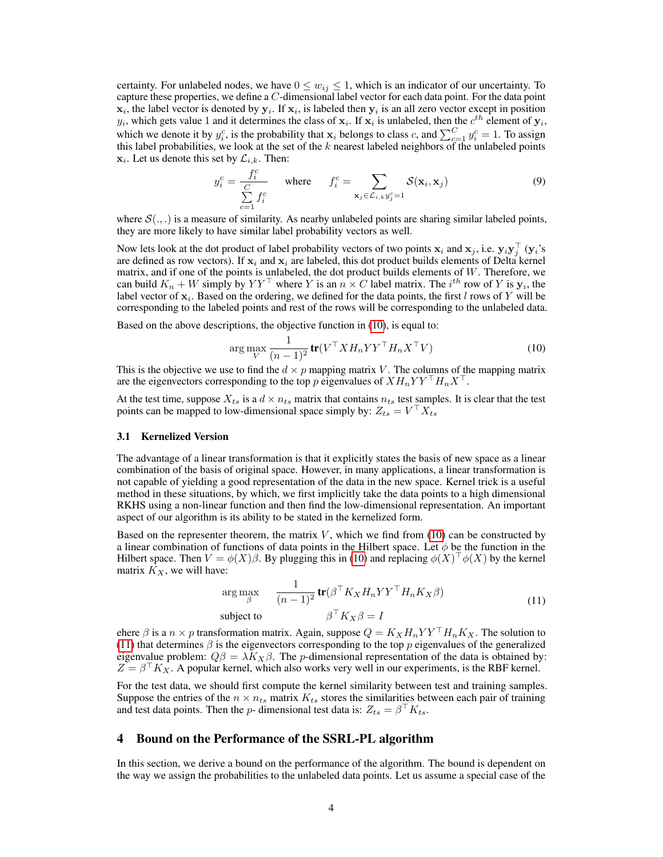certainty. For unlabeled nodes, we have  $0 \leq w_{ij} \leq 1$ , which is an indicator of our uncertainty. To capture these properties, we define a C-dimensional label vector for each data point. For the data point  $x_i$ , the label vector is denoted by  $y_i$ . If  $x_i$ , is labeled then  $y_i$  is an all zero vector except in position  $y_i$ , which gets value 1 and it determines the class of  $x_i$ . If  $x_i$  is unlabeled, then the  $c^{th}$  element of  $y_i$ , which we denote it by  $y_i^c$ , is the probability that  $x_i$  belongs to class c, and  $\sum_{c=1}^{C} y_i^c = 1$ . To assign this label probabilities, we look at the set of the  $k$  nearest labeled neighbors of the unlabeled points  $\mathbf{x}_i$ . Let us denote this set by  $\mathcal{L}_{i,k}$ . Then:

<span id="page-3-2"></span>
$$
y_i^c = \frac{f_i^c}{\sum\limits_{c=1}^C f_i^c} \quad \text{where} \quad f_i^c = \sum\limits_{\mathbf{x}_j \in \mathcal{L}_{i,k}} \sum_{y_j^c=1} \mathcal{S}(\mathbf{x}_i, \mathbf{x}_j) \tag{9}
$$

where  $\mathcal{S}(.,.)$  is a measure of similarity. As nearby unlabeled points are sharing similar labeled points, they are more likely to have similar label probability vectors as well.

Now lets look at the dot product of label probability vectors of two points  $x_i$  and  $x_j$ , i.e.  $y_iy_j^\top$  ( $y_i$ 's are defined as row vectors). If  $x_i$  and  $x_i$  are labeled, this dot product builds elements of Delta kernel matrix, and if one of the points is unlabeled, the dot product builds elements of  $W$ . Therefore, we can build  $K_n + W$  simply by  $YY^{\top}$  where Y is an  $n \times C$  label matrix. The  $i^{th}$  row of Y is  $y_i$ , the label vector of  $x_i$ . Based on the ordering, we defined for the data points, the first l rows of Y will be corresponding to the labeled points and rest of the rows will be corresponding to the unlabeled data.

Based on the above descriptions, the objective function in [\(10\)](#page-3-0), is equal to:

<span id="page-3-0"></span>
$$
\arg\max_{V} \frac{1}{(n-1)^2} \mathbf{tr}(V^\top X H_n Y Y^\top H_n X^\top V) \tag{10}
$$

This is the objective we use to find the  $d \times p$  mapping matrix V. The columns of the mapping matrix are the eigenvectors corresponding to the top p eigenvalues of  $XH_nYY^\top H_nX^\top$ .

At the test time, suppose  $X_{ts}$  is a  $d \times n_{ts}$  matrix that contains  $n_{ts}$  test samples. It is clear that the test points can be mapped to low-dimensional space simply by:  $Z_{ts} = V^\top X_{ts}$ 

#### 3.1 Kernelized Version

The advantage of a linear transformation is that it explicitly states the basis of new space as a linear combination of the basis of original space. However, in many applications, a linear transformation is not capable of yielding a good representation of the data in the new space. Kernel trick is a useful method in these situations, by which, we first implicitly take the data points to a high dimensional RKHS using a non-linear function and then find the low-dimensional representation. An important aspect of our algorithm is its ability to be stated in the kernelized form.

Based on the representer theorem, the matrix  $V$ , which we find from [\(10\)](#page-3-0) can be constructed by a linear combination of functions of data points in the Hilbert space. Let  $\phi$  be the function in the Hilbert space. Then  $V = \phi(X)\beta$ . By plugging this in [\(10\)](#page-3-0) and replacing  $\phi(X)^\top \phi(X)$  by the kernel matrix  $K_X$ , we will have:

<span id="page-3-1"></span>
$$
\arg \max_{\beta} \quad \frac{1}{(n-1)^2} \mathbf{tr}(\beta^{\top} K_X H_n Y Y^{\top} H_n K_X \beta)
$$
\n
$$
\text{subject to} \quad \beta^{\top} K_X \beta = I \tag{11}
$$

ehere  $\beta$  is a  $n \times p$  transformation matrix. Again, suppose  $Q = K_X H_n Y Y^\top H_n K_X$ . The solution to [\(11\)](#page-3-1) that determines  $\beta$  is the eigenvectors corresponding to the top p eigenvalues of the generalized eigenvalue problem:  $Q\beta = \lambda K_X \beta$ . The *p*-dimensional representation of the data is obtained by:  $Z = \beta^{T} K_X$ . A popular kernel, which also works very well in our experiments, is the RBF kernel.

For the test data, we should first compute the kernel similarity between test and training samples. Suppose the entries of the  $n \times n_{ts}$  matrix  $K_{ts}$  stores the similarities between each pair of training and test data points. Then the *p*- dimensional test data is:  $Z_{ts} = \beta^\top K_{ts}$ .

#### 4 Bound on the Performance of the SSRL-PL algorithm

In this section, we derive a bound on the performance of the algorithm. The bound is dependent on the way we assign the probabilities to the unlabeled data points. Let us assume a special case of the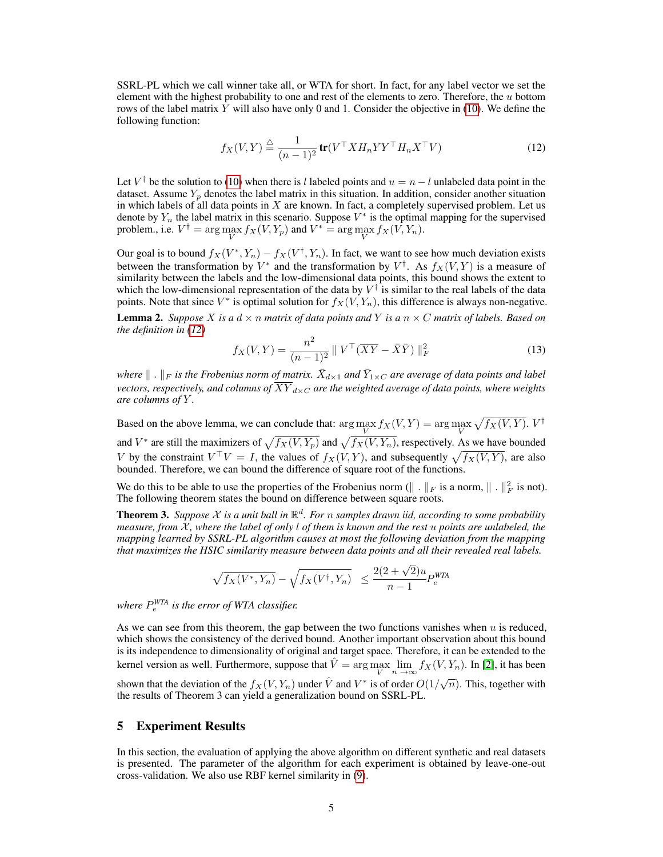SSRL-PL which we call winner take all, or WTA for short. In fact, for any label vector we set the element with the highest probability to one and rest of the elements to zero. Therefore, the  $u$  bottom rows of the label matrix  $Y$  will also have only 0 and 1. Consider the objective in [\(10\)](#page-3-0). We define the following function:

<span id="page-4-0"></span>
$$
f_X(V,Y) \stackrel{\triangle}{=} \frac{1}{(n-1)^2} \operatorname{tr}(V^\top X H_n Y Y^\top H_n X^\top V) \tag{12}
$$

Let  $V^{\dagger}$  be the solution to [\(10\)](#page-3-0) when there is l labeled points and  $u = n - l$  unlabeled data point in the dataset. Assume  $Y_p$  denotes the label matrix in this situation. In addition, consider another situation in which labels of all data points in  $X$  are known. In fact, a completely supervised problem. Let us denote by  $Y_n$  the label matrix in this scenario. Suppose  $V^*$  is the optimal mapping for the supervised problem., i.e.  $V^{\dagger} = \arg\max_{V} f_X(V, Y_p)$  and  $V^* = \arg\max_{V} f_X(V, Y_n)$ .

Our goal is to bound  $f_X(V^*, Y_n) - f_X(V^*, Y_n)$ . In fact, we want to see how much deviation exists between the transformation by  $V^*$  and the transformation by  $V^{\dagger}$ . As  $f_X(V, Y)$  is a measure of similarity between the labels and the low-dimensional data points, this bound shows the extent to which the low-dimensional representation of the data by  $V^{\dagger}$  is similar to the real labels of the data points. Note that since  $V^*$  is optimal solution for  $f_X(V, Y_n)$ , this difference is always non-negative.

<span id="page-4-1"></span>**Lemma 2.** *Suppose* X *is a*  $d \times n$  *matrix of data points and* Y *is a*  $n \times C$  *matrix of labels. Based on the definition in [\(12\)](#page-4-0)*

$$
f_X(V, Y) = \frac{n^2}{(n-1)^2} || V^\top (\overline{XY} - \bar{X}\bar{Y}) ||_F^2
$$
 (13)

where  $\|$  .  $\|_F$  is the Frobenius norm of matrix.  $\bar{X}_{d\times 1}$  and  $\bar{Y}_{1\times C}$  are average of data points and label *vectors, respectively, and columns of*  $\overline{XY}_{d\times C}$  *are the weighted average of data points, where weights are columns of* Y *.*

Based on the above lemma, we can conclude that:  $\arg\max_{V} f_X(V, Y) = \arg\max_{V} \sqrt{f_X(V, Y)}$ .  $V^{\dagger}$ and  $V^*$  are still the maximizers of  $\sqrt{f_X(V, Y_p)}$  and  $\sqrt{f_X(V, Y_n)}$ , respectively. As we have bounded V by the constraint  $V^{\top}V = I$ , the values of  $f_X(V, Y)$ , and subsequently  $\sqrt{f_X(V, Y)}$ , are also bounded. Therefore, we can bound the difference of square root of the functions.

We do this to be able to use the properties of the Frobenius norm ( $\|\cdot\|_F$  is a norm,  $\|\cdot\|_F^2$  is not). The following theorem states the bound on difference between square roots.

<span id="page-4-2"></span>**Theorem 3.** Suppose X is a unit ball in  $\mathbb{R}^d$ . For n samples drawn iid, according to some probability *measure, from* X *, where the label of only* l *of them is known and the rest* u *points are unlabeled, the mapping learned by SSRL-PL algorithm causes at most the following deviation from the mapping that maximizes the HSIC similarity measure between data points and all their revealed real labels.*

$$
\sqrt{f_X(V^*, Y_n)} - \sqrt{f_X(V^{\dagger}, Y_n)} \le \frac{2(2+\sqrt{2})u}{n-1} P_e^{WTA}
$$

where  $P_{e}^{WTA}$  is the error of WTA classifier.

As we can see from this theorem, the gap between the two functions vanishes when u is reduced, which shows the consistency of the derived bound. Another important observation about this bound is its independence to dimensionality of original and target space. Therefore, it can be extended to the kernel version as well. Furthermore, suppose that  $\hat{V} = \arg \max_{V} \lim_{n \to \infty} f_X(V, Y_n)$ . In [\[2\]](#page-8-7), it has been shown that the deviation of the  $f_X(V, Y_n)$  under  $\hat{V}$  and  $V^*$  is of order  $O(1/\sqrt{n})$ . This, together with √ the results of Theorem 3 can yield a generalization bound on SSRL-PL.

## 5 Experiment Results

In this section, the evaluation of applying the above algorithm on different synthetic and real datasets is presented. The parameter of the algorithm for each experiment is obtained by leave-one-out cross-validation. We also use RBF kernel similarity in [\(9\)](#page-3-2).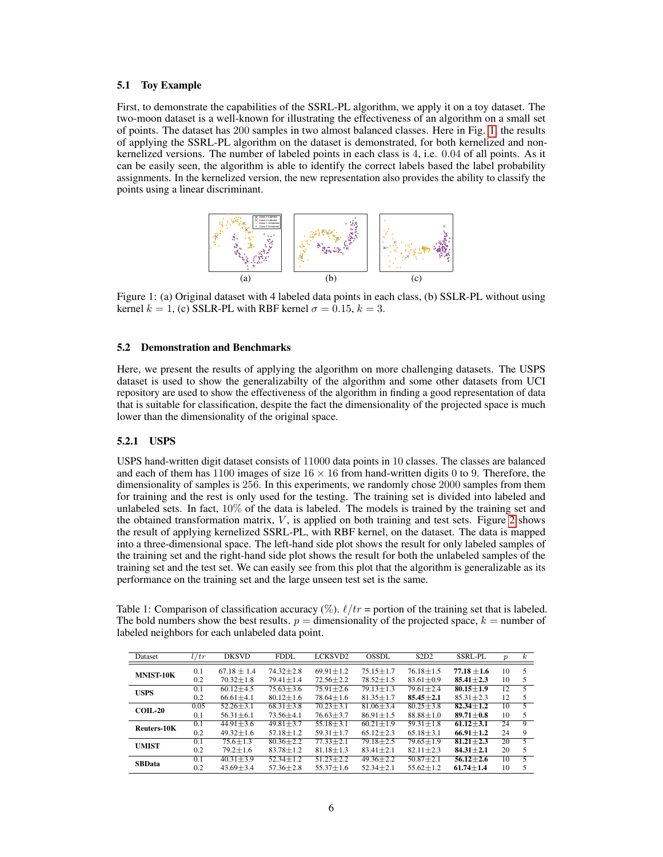#### 5.1 Toy Example

First, to demonstrate the capabilities of the SSRL-PL algorithm, we apply it on a toy dataset. The two-moon dataset is a well-known for illustrating the effectiveness of an algorithm on a small set of points. The dataset has 200 samples in two almost balanced classes. Here in Fig. [1,](#page-5-0) the results of applying the SSRL-PL algorithm on the dataset is demonstrated, for both kernelized and nonkernelized versions. The number of labeled points in each class is 4, i.e. 0.04 of all points. As it can be easily seen, the algorithm is able to identify the correct labels based the label probability assignments. In the kernelized version, the new representation also provides the ability to classify the points using a linear discriminant.

<span id="page-5-0"></span>

Figure 1: (a) Original dataset with 4 labeled data points in each class, (b) SSLR-PL without using kernel  $k = 1$ , (c) SSLR-PL with RBF kernel  $\sigma = 0.15$ ,  $k = 3$ .

#### 5.2 Demonstration and Benchmarks

Here, we present the results of applying the algorithm on more challenging datasets. The USPS dataset is used to show the generalizabilty of the algorithm and some other datasets from UCI repository are used to show the effectiveness of the algorithm in finding a good representation of data that is suitable for classification, despite the fact the dimensionality of the projected space is much lower than the dimensionality of the original space.

## 5.2.1 USPS

USPS hand-written digit dataset consists of 11000 data points in 10 classes. The classes are balanced and each of them has 1100 images of size  $16 \times 16$  from hand-written digits 0 to 9. Therefore, the dimensionality of samples is 256. In this experiments, we randomly chose 2000 samples from them for training and the rest is only used for the testing. The training set is divided into labeled and unlabeled sets. In fact,  $10\%$  of the data is labeled. The models is trained by the training set and the obtained transformation matrix,  $V$ , is applied on both training and test sets. Figure [2](#page-6-0) shows the result of applying kernelized SSRL-PL, with RBF kernel, on the dataset. The data is mapped into a three-dimensional space. The left-hand side plot shows the result for only labeled samples of the training set and the right-hand side plot shows the result for both the unlabeled samples of the training set and the test set. We can easily see from this plot that the algorithm is generalizable as its performance on the training set and the large unseen test set is the same.

<span id="page-5-1"></span>Table 1: Comparison of classification accuracy (%).  $\ell$ /tr = portion of the training set that is labeled. The bold numbers show the best results.  $p =$  dimensionality of the projected space,  $k =$  number of labeled neighbors for each unlabeled data point.

| Dataset          | l/tr | <b>DKSVD</b>    | <b>FDDL</b>     | LCKSVD2         | <b>OSSDL</b>    | S2D2            | <b>SSRL-PL</b>  | $\boldsymbol{p}$ | $\boldsymbol{k}$ |
|------------------|------|-----------------|-----------------|-----------------|-----------------|-----------------|-----------------|------------------|------------------|
| <b>MNIST-10K</b> | 0.1  | $67.18 \pm 1.4$ | $74.32 \pm 2.8$ | $69.91 \pm 1.2$ | $75.15 \pm 1.7$ | $76.18 \pm 1.5$ | $77.18 \pm 1.6$ | 10               |                  |
|                  | 0.2  | $70.32 \pm 1.8$ | $79.41 \pm 1.4$ | $72.56 \pm 2.2$ | $78.52 \pm 1.5$ | $83.61 \pm 0.9$ | $85.41 \pm 2.3$ | 10               | 5                |
| <b>USPS</b>      | 0.1  | $60.12 + 4.5$   | $75.63 + 3.6$   | $75.91 + 2.6$   | $79.13 + 1.3$   | $79.61 + 2.4$   | $80.15 + 1.9$   | 12               | 5                |
|                  | 0.2  | $66.61 + 4.1$   | $80.12 \pm 1.6$ | $78.64 + 1.6$   | $81.35 + 1.7$   | $85.45 + 2.1$   | $85.31 + 2.3$   | 12               | 5                |
| <b>COIL-20</b>   | 0.05 | $52.26 + 3.1$   | $68.31 \pm 3.8$ | $70.23 \pm 3.1$ | $81.06 + 3.4$   | $80.25 + 3.8$   | $82.34 \pm 1.2$ | 10               | 5                |
|                  | 0.1  | $56.31 \pm 6.1$ | $73.56 + 4.1$   | $76.63 \pm 3.7$ | $86.91 + 1.5$   | $88.88 \pm 1.0$ | $89.71 + 0.8$   | 10               | 5                |
| Reuters-10K      | 0.1  | $44.91 + 3.6$   | $49.81 + 3.7$   | $55.18 \pm 3.1$ | $60.21 + 1.9$   | $59.31 + 1.8$   | $61.12 + 3.1$   | 24               | 9                |
|                  | 0.2  | $49.32 + 1.6$   | $57.18 \pm 1.2$ | $59.31 \pm 1.7$ | $65.12 \pm 2.3$ | $65.18 \pm 3.1$ | $66.91 \pm 1.2$ | 24               | 9                |
| <b>UMIST</b>     | 0.1  | $75.6 + 1.3$    | $80.36 + 2.2$   | $77.33 \pm 2.1$ | $79.18 \pm 2.5$ | $79.65 + 1.9$   | $81.21 + 2.3$   | 20               | 5                |
|                  | 0.2  | $79.2 + 1.6$    | $83.78 \pm 1.2$ | $81.18 \pm 1.3$ | $83.41 \pm 2.1$ | $82.11 \pm 2.3$ | $84.31 \pm 2.1$ | 20               | 5                |
| <b>SBData</b>    | 0.1  | $40.31 + 3.9$   | $52.34 \pm 1.2$ | $51.23 + 2.2$   | $49.36 \pm 2.2$ | $50.87 + 2.1$   | $56.12 + 2.6$   | 10               | $\overline{5}$   |
|                  | 0.2  | $43.69 + 3.4$   | $57.36 + 2.8$   | $55.37 + 1.6$   | $52.34 \pm 2.1$ | $55.62 + 1.2$   | $61.74 + 1.4$   | 10               |                  |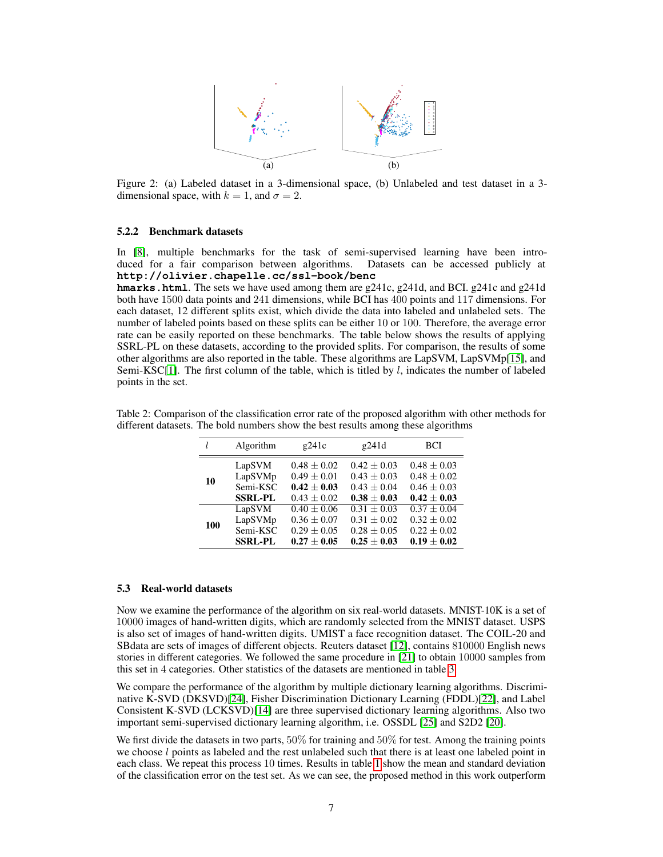<span id="page-6-0"></span>

Figure 2: (a) Labeled dataset in a 3-dimensional space, (b) Unlabeled and test dataset in a 3 dimensional space, with  $k = 1$ , and  $\sigma = 2$ .

#### 5.2.2 Benchmark datasets

In [\[8\]](#page-8-8), multiple benchmarks for the task of semi-supervised learning have been introduced for a fair comparison between algorithms. Datasets can be accessed publicly at **http://olivier.chapelle.cc/ssl-book/benc**

**hmarks.html**. The sets we have used among them are g241c, g241d, and BCI. g241c and g241d both have 1500 data points and 241 dimensions, while BCI has 400 points and 117 dimensions. For each dataset, 12 different splits exist, which divide the data into labeled and unlabeled sets. The number of labeled points based on these splits can be either 10 or 100. Therefore, the average error rate can be easily reported on these benchmarks. The table below shows the results of applying SSRL-PL on these datasets, according to the provided splits. For comparison, the results of some other algorithms are also reported in the table. These algorithms are LapSVM, LapSVMp[\[15\]](#page-8-9), and Semi-KSC[\[1\]](#page-8-10). The first column of the table, which is titled by  $l$ , indicates the number of labeled points in the set.

|     | Algorithm      | g241c           | g241d         | <b>BCI</b>      |
|-----|----------------|-----------------|---------------|-----------------|
| 10  | LapSVM         | $0.48 + 0.02$   | $0.42 + 0.03$ | $0.48 + 0.03$   |
|     | LapSVMp        | $0.49 + 0.01$   | $0.43 + 0.03$ | $0.48 + 0.02$   |
|     | Semi-KSC       | $0.42 + 0.03$   | $0.43 + 0.04$ | $0.46 \pm 0.03$ |
|     | <b>SSRL-PL</b> | $0.43 \pm 0.02$ | $0.38 + 0.03$ | $0.42 \pm 0.03$ |
| 100 | LapSVM         | $0.40 + 0.06$   | $0.31 + 0.03$ | $0.37 + 0.04$   |
|     | LapSVMp        | $0.36 \pm 0.07$ | $0.31 + 0.02$ | $0.32 + 0.02$   |
|     | Semi-KSC       | $0.29 \pm 0.05$ | $0.28 + 0.05$ | $0.22 + 0.02$   |
|     | <b>SSRL-PL</b> | $0.27 + 0.05$   | $0.25 + 0.03$ | $0.19 + 0.02$   |

Table 2: Comparison of the classification error rate of the proposed algorithm with other methods for different datasets. The bold numbers show the best results among these algorithms

#### 5.3 Real-world datasets

Now we examine the performance of the algorithm on six real-world datasets. MNIST-10K is a set of 10000 images of hand-written digits, which are randomly selected from the MNIST dataset. USPS is also set of images of hand-written digits. UMIST a face recognition dataset. The COIL-20 and SBdata are sets of images of different objects. Reuters dataset [\[12\]](#page-8-11), contains 810000 English news stories in different categories. We followed the same procedure in [\[21\]](#page-8-12) to obtain 10000 samples from this set in 4 categories. Other statistics of the datasets are mentioned in table [3.](#page-7-0)

We compare the performance of the algorithm by multiple dictionary learning algorithms. Discriminative K-SVD (DKSVD)[\[24\]](#page-9-3), Fisher Discrimination Dictionary Learning (FDDL)[\[22\]](#page-8-13), and Label Consistent K-SVD (LCKSVD)[\[14\]](#page-8-14) are three supervised dictionary learning algorithms. Also two important semi-supervised dictionary learning algorithm, i.e. OSSDL [\[25\]](#page-9-4) and S2D2 [\[20\]](#page-8-15).

We first divide the datasets in two parts,  $50\%$  for training and  $50\%$  for test. Among the training points we choose  $l$  points as labeled and the rest unlabeled such that there is at least one labeled point in each class. We repeat this process 10 times. Results in table [1](#page-5-1) show the mean and standard deviation of the classification error on the test set. As we can see, the proposed method in this work outperform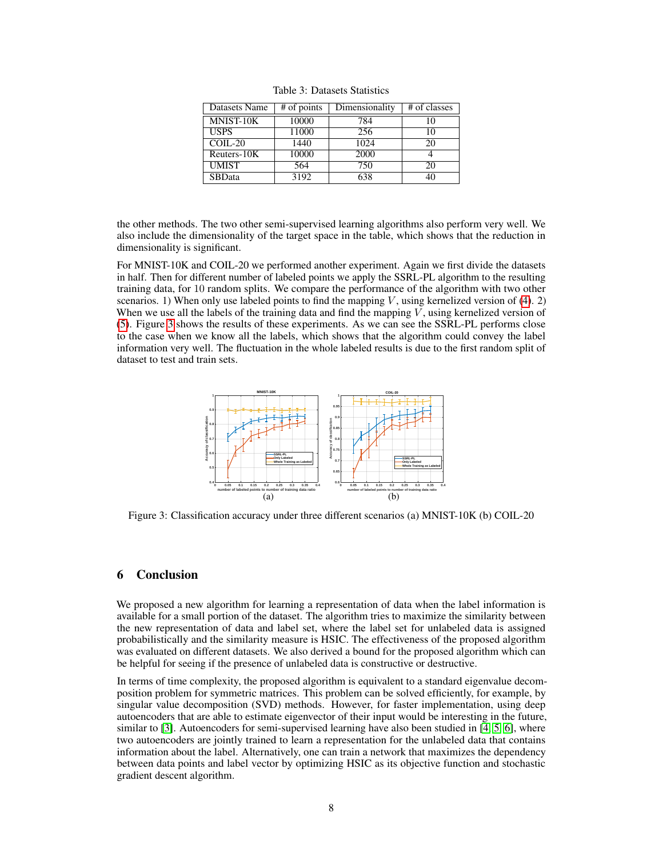<span id="page-7-0"></span>

| Datasets Name  | # of points | Dimensionality | # of classes |
|----------------|-------------|----------------|--------------|
| MNIST-10K      | 10000       | 784            | 10           |
| <b>USPS</b>    | 11000       | 256            | 10           |
| $COLL-20$      | 1440        | 1024           | 20           |
| Reuters- $10K$ | 10000       | 2000           |              |
| <b>UMIST</b>   | 564         | 750            | 20           |
| <b>SBData</b>  | 3192        | 638            | 40           |

Table 3: Datasets Statistics

the other methods. The two other semi-supervised learning algorithms also perform very well. We also include the dimensionality of the target space in the table, which shows that the reduction in dimensionality is significant.

For MNIST-10K and COIL-20 we performed another experiment. Again we first divide the datasets in half. Then for different number of labeled points we apply the SSRL-PL algorithm to the resulting training data, for 10 random splits. We compare the performance of the algorithm with two other scenarios. 1) When only use labeled points to find the mapping V, using kernelized version of [\(4\)](#page-2-0). 2) When we use all the labels of the training data and find the mapping  $V$ , using kernelized version of [\(5\)](#page-2-2). Figure [3](#page-7-1) shows the results of these experiments. As we can see the SSRL-PL performs close to the case when we know all the labels, which shows that the algorithm could convey the label information very well. The fluctuation in the whole labeled results is due to the first random split of dataset to test and train sets.

<span id="page-7-1"></span>

Figure 3: Classification accuracy under three different scenarios (a) MNIST-10K (b) COIL-20

### 6 Conclusion

We proposed a new algorithm for learning a representation of data when the label information is available for a small portion of the dataset. The algorithm tries to maximize the similarity between the new representation of data and label set, where the label set for unlabeled data is assigned probabilistically and the similarity measure is HSIC. The effectiveness of the proposed algorithm was evaluated on different datasets. We also derived a bound for the proposed algorithm which can be helpful for seeing if the presence of unlabeled data is constructive or destructive.

In terms of time complexity, the proposed algorithm is equivalent to a standard eigenvalue decomposition problem for symmetric matrices. This problem can be solved efficiently, for example, by singular value decomposition (SVD) methods. However, for faster implementation, using deep autoencoders that are able to estimate eigenvector of their input would be interesting in the future, similar to [\[3\]](#page-8-16). Autoencoders for semi-supervised learning have also been studied in [\[4,](#page-8-17) [5,](#page-8-18) [6\]](#page-8-19), where two autoencoders are jointly trained to learn a representation for the unlabeled data that contains information about the label. Alternatively, one can train a network that maximizes the dependency between data points and label vector by optimizing HSIC as its objective function and stochastic gradient descent algorithm.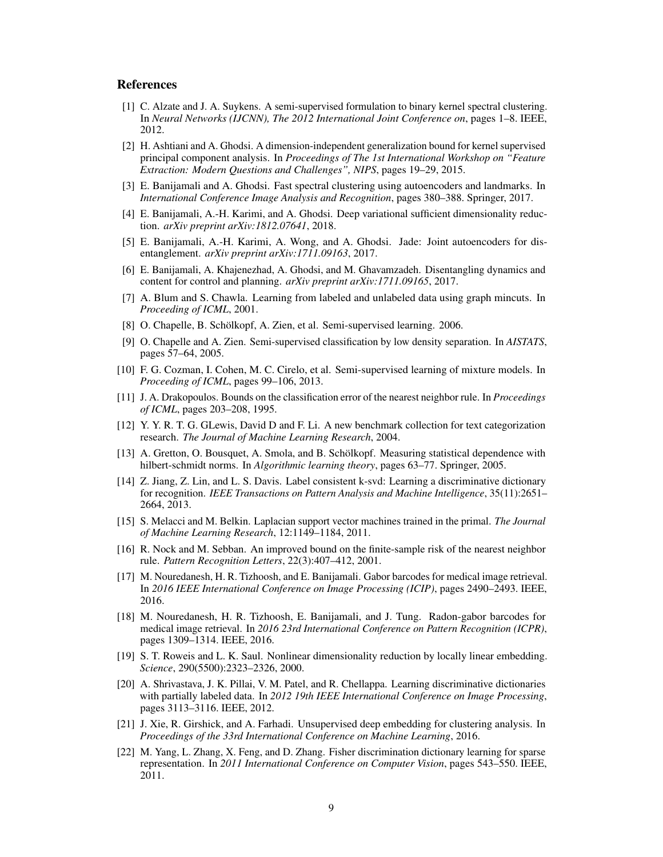## **References**

- <span id="page-8-10"></span>[1] C. Alzate and J. A. Suykens. A semi-supervised formulation to binary kernel spectral clustering. In *Neural Networks (IJCNN), The 2012 International Joint Conference on*, pages 1–8. IEEE, 2012.
- <span id="page-8-7"></span>[2] H. Ashtiani and A. Ghodsi. A dimension-independent generalization bound for kernel supervised principal component analysis. In *Proceedings of The 1st International Workshop on "Feature Extraction: Modern Questions and Challenges", NIPS*, pages 19–29, 2015.
- <span id="page-8-16"></span>[3] E. Banijamali and A. Ghodsi. Fast spectral clustering using autoencoders and landmarks. In *International Conference Image Analysis and Recognition*, pages 380–388. Springer, 2017.
- <span id="page-8-17"></span>[4] E. Banijamali, A.-H. Karimi, and A. Ghodsi. Deep variational sufficient dimensionality reduction. *arXiv preprint arXiv:1812.07641*, 2018.
- <span id="page-8-18"></span>[5] E. Banijamali, A.-H. Karimi, A. Wong, and A. Ghodsi. Jade: Joint autoencoders for disentanglement. *arXiv preprint arXiv:1711.09163*, 2017.
- <span id="page-8-19"></span>[6] E. Banijamali, A. Khajenezhad, A. Ghodsi, and M. Ghavamzadeh. Disentangling dynamics and content for control and planning. *arXiv preprint arXiv:1711.09165*, 2017.
- <span id="page-8-0"></span>[7] A. Blum and S. Chawla. Learning from labeled and unlabeled data using graph mincuts. In *Proceeding of ICML*, 2001.
- <span id="page-8-8"></span>[8] O. Chapelle, B. Schölkopf, A. Zien, et al. Semi-supervised learning. 2006.
- <span id="page-8-2"></span>[9] O. Chapelle and A. Zien. Semi-supervised classification by low density separation. In *AISTATS*, pages 57–64, 2005.
- <span id="page-8-5"></span>[10] F. G. Cozman, I. Cohen, M. C. Cirelo, et al. Semi-supervised learning of mixture models. In *Proceeding of ICML*, pages 99–106, 2013.
- <span id="page-8-20"></span>[11] J. A. Drakopoulos. Bounds on the classification error of the nearest neighbor rule. In *Proceedings of ICML*, pages 203–208, 1995.
- <span id="page-8-11"></span>[12] Y. Y. R. T. G. GLewis, David D and F. Li. A new benchmark collection for text categorization research. *The Journal of Machine Learning Research*, 2004.
- <span id="page-8-6"></span>[13] A. Gretton, O. Bousquet, A. Smola, and B. Schölkopf. Measuring statistical dependence with hilbert-schmidt norms. In *Algorithmic learning theory*, pages 63–77. Springer, 2005.
- <span id="page-8-14"></span>[14] Z. Jiang, Z. Lin, and L. S. Davis. Label consistent k-svd: Learning a discriminative dictionary for recognition. *IEEE Transactions on Pattern Analysis and Machine Intelligence*, 35(11):2651– 2664, 2013.
- <span id="page-8-9"></span>[15] S. Melacci and M. Belkin. Laplacian support vector machines trained in the primal. *The Journal of Machine Learning Research*, 12:1149–1184, 2011.
- <span id="page-8-21"></span>[16] R. Nock and M. Sebban. An improved bound on the finite-sample risk of the nearest neighbor rule. *Pattern Recognition Letters*, 22(3):407–412, 2001.
- <span id="page-8-3"></span>[17] M. Nouredanesh, H. R. Tizhoosh, and E. Banijamali. Gabor barcodes for medical image retrieval. In *2016 IEEE International Conference on Image Processing (ICIP)*, pages 2490–2493. IEEE, 2016.
- <span id="page-8-4"></span>[18] M. Nouredanesh, H. R. Tizhoosh, E. Banijamali, and J. Tung. Radon-gabor barcodes for medical image retrieval. In *2016 23rd International Conference on Pattern Recognition (ICPR)*, pages 1309–1314. IEEE, 2016.
- <span id="page-8-1"></span>[19] S. T. Roweis and L. K. Saul. Nonlinear dimensionality reduction by locally linear embedding. *Science*, 290(5500):2323–2326, 2000.
- <span id="page-8-15"></span>[20] A. Shrivastava, J. K. Pillai, V. M. Patel, and R. Chellappa. Learning discriminative dictionaries with partially labeled data. In *2012 19th IEEE International Conference on Image Processing*, pages 3113–3116. IEEE, 2012.
- <span id="page-8-12"></span>[21] J. Xie, R. Girshick, and A. Farhadi. Unsupervised deep embedding for clustering analysis. In *Proceedings of the 33rd International Conference on Machine Learning*, 2016.
- <span id="page-8-13"></span>[22] M. Yang, L. Zhang, X. Feng, and D. Zhang. Fisher discrimination dictionary learning for sparse representation. In *2011 International Conference on Computer Vision*, pages 543–550. IEEE, 2011.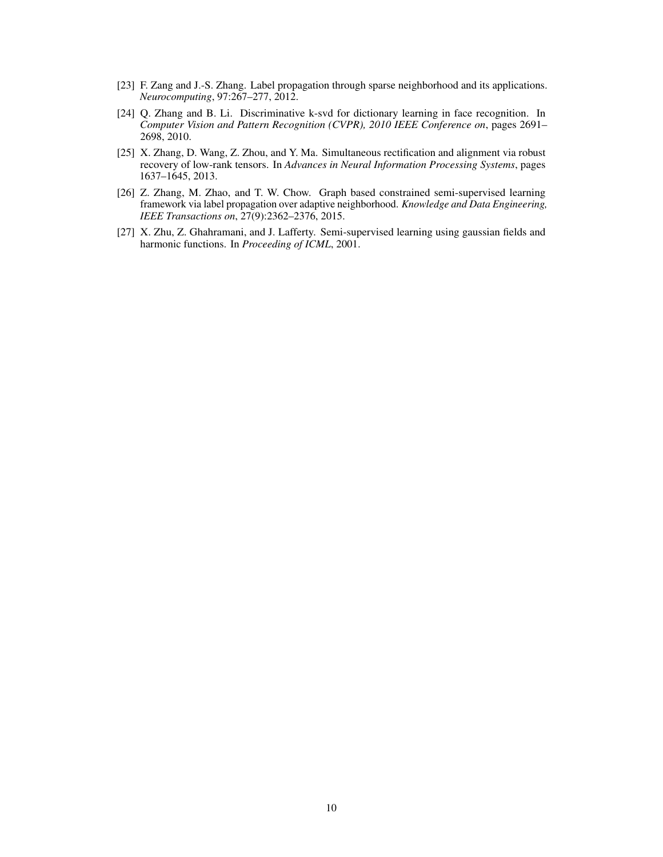- <span id="page-9-1"></span>[23] F. Zang and J.-S. Zhang. Label propagation through sparse neighborhood and its applications. *Neurocomputing*, 97:267–277, 2012.
- <span id="page-9-3"></span>[24] Q. Zhang and B. Li. Discriminative k-svd for dictionary learning in face recognition. In *Computer Vision and Pattern Recognition (CVPR), 2010 IEEE Conference on*, pages 2691– 2698, 2010.
- <span id="page-9-4"></span>[25] X. Zhang, D. Wang, Z. Zhou, and Y. Ma. Simultaneous rectification and alignment via robust recovery of low-rank tensors. In *Advances in Neural Information Processing Systems*, pages 1637–1645, 2013.
- <span id="page-9-2"></span>[26] Z. Zhang, M. Zhao, and T. W. Chow. Graph based constrained semi-supervised learning framework via label propagation over adaptive neighborhood. *Knowledge and Data Engineering, IEEE Transactions on*, 27(9):2362–2376, 2015.
- <span id="page-9-0"></span>[27] X. Zhu, Z. Ghahramani, and J. Lafferty. Semi-supervised learning using gaussian fields and harmonic functions. In *Proceeding of ICML*, 2001.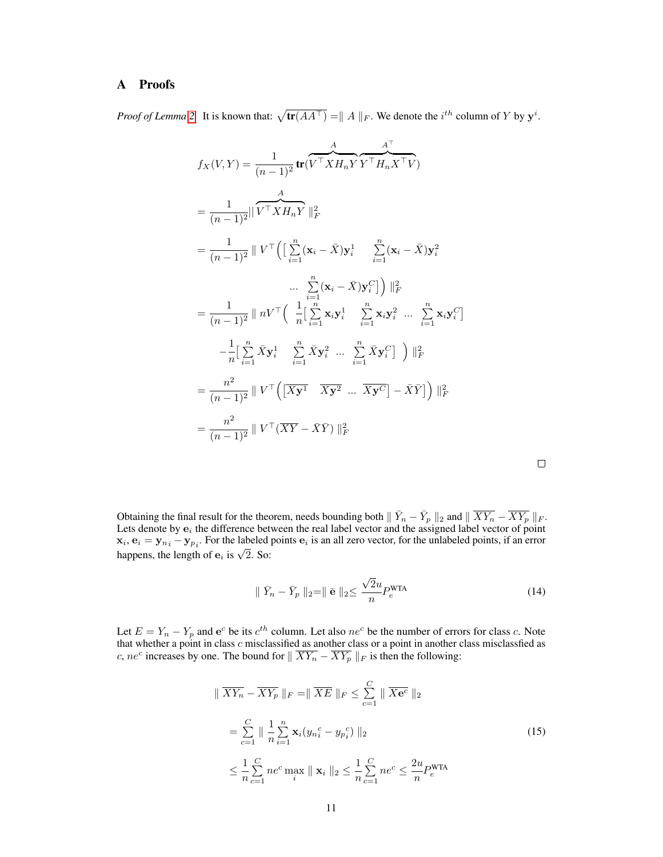## A Proofs

*Proof of Lemma* [2.](#page-4-1) It is known that:  $\sqrt{\text{tr}(AA^{\top})} = ||A||_F$ . We denote the *i*<sup>th</sup> column of Y by  $y^i$ .

$$
f_X(V, Y) = \frac{1}{(n-1)^2} \text{tr}(\overbrace{V^\top X H_n Y}^{A} Y^\top H_n X^\top V)
$$
  
\n
$$
= \frac{1}{(n-1)^2} || \overbrace{V^\top X H_n Y}^{A} ||_F^2
$$
  
\n
$$
= \frac{1}{(n-1)^2} || V^\top (\left[ \sum_{i=1}^n (\mathbf{x}_i - \bar{X}) \mathbf{y}_i^1 \right]_{i=1}^n (\mathbf{x}_i - \bar{X}) \mathbf{y}_i^2
$$
  
\n... 
$$
\sum_{i=1}^n (\mathbf{x}_i - \bar{X}) \mathbf{y}_i^C ] \right) ||_F^2
$$
  
\n
$$
= \frac{1}{(n-1)^2} || nV^\top (\left[ \frac{1}{n} [\sum_{i=1}^n \mathbf{x}_i \mathbf{y}_i^1 \right]_{i=1}^n \mathbf{x}_i \mathbf{y}_i^2 \dots \sum_{i=1}^n \mathbf{x}_i \mathbf{y}_i^C ]
$$
  
\n
$$
- \frac{1}{n} [\sum_{i=1}^n \bar{X} \mathbf{y}_i^1 \sum_{i=1}^n \bar{X} \mathbf{y}_i^2 \dots \sum_{i=1}^n \bar{X} \mathbf{y}_i^C ] \right) ||_F^2
$$
  
\n
$$
= \frac{n^2}{(n-1)^2} || V^\top (\overbrace{[X \mathbf{y}^1 \quad \overline{X} \mathbf{y}^2 \dots \overline{X} \mathbf{y}^C} - \bar{X} \bar{Y}) ||_F^2
$$
  
\n
$$
= \frac{n^2}{(n-1)^2} || V^\top (\overbrace{X \mathbf{Y}} - \bar{X} \bar{Y}) ||_F^2
$$

<span id="page-10-1"></span>

Obtaining the final result for the theorem, needs bounding both  $\|\bar{Y}_n - \bar{Y}_p\|_2$  and  $\|\overline{XY_n} - \overline{XY_p}\|_F$ . Lets denote by  $e_i$  the difference between the real label vector and the assigned label vector of point  $\mathbf{x}_i, \mathbf{e}_i = \mathbf{y}_{n_i} - \mathbf{y}_{p_i}$ . For the labeled points  $\mathbf{e}_i$  is an all zero vector, for the unlabeled points, if an error  $\mathbf{x}_i, \mathbf{e}_i = \mathbf{y}_{n_i} - \mathbf{y}_{p_i}$ . For the labeled happens, the length of  $\mathbf{e}_i$  is  $\sqrt{2}$ . So:

<span id="page-10-0"></span>
$$
\| \ \bar{Y}_n - \bar{Y}_p \ \|_2 = \| \ \bar{\mathbf{e}} \ \|_2 \leq \frac{\sqrt{2}u}{n} P_e^{\text{WTA}} \tag{14}
$$

Let  $E = Y_n - Y_p$  and  $e^c$  be its  $c^{th}$  column. Let also  $ne^c$  be the number of errors for class c. Note that whether a point in class  $c$  misclassified as another class or a point in another class misclassfied as c,  $ne^c$  increases by one. The bound for  $\|\overline{XY_n} - \overline{XY_p}\|_F$  is then the following:

$$
\|\overline{XY_n} - \overline{XY_p}\|_F = \|\overline{XE}\|_F \le \sum_{c=1}^C \|\overline{Xe^c}\|_2
$$
  
=  $\sum_{c=1}^C \|\frac{1}{n}\sum_{i=1}^n \mathbf{x}_i (y_{n_i}^c - y_{p_i}^c)\|_2$   
 $\le \frac{1}{n}\sum_{c=1}^C n e^c \max_i \|\mathbf{x}_i\|_2 \le \frac{1}{n}\sum_{c=1}^C n e^c \le \frac{2u}{n} P_e^{\text{WTA}}$  (15)